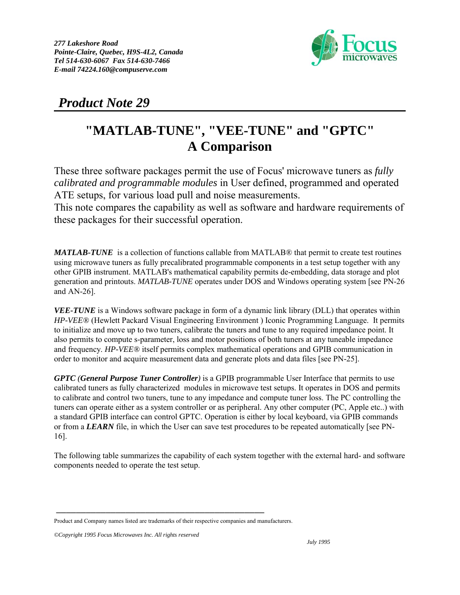

 *Product Note 29*

## **"MATLAB-TUNE", "VEE-TUNE" and "GPTC" A Comparison**

These three software packages permit the use of Focus' microwave tuners as *fully calibrated and programmable modules* in User defined, programmed and operated ATE setups, for various load pull and noise measurements. This note compares the capability as well as software and hardware requirements of these packages for their successful operation.

*MATLAB-TUNE* is a collection of functions callable from MATLAB® that permit to create test routines using microwave tuners as fully precalibrated programmable components in a test setup together with any other GPIB instrument. MATLAB's mathematical capability permits de-embedding, data storage and plot generation and printouts. *MATLAB-TUNE* operates under DOS and Windows operating system [see PN-26 and AN-26].

*VEE-TUNE* is a Windows software package in form of a dynamic link library (DLL) that operates within *HP-VEE®* (Hewlett Packard Visual Engineering Environment ) Iconic Programming Language. It permits to initialize and move up to two tuners, calibrate the tuners and tune to any required impedance point. It also permits to compute s-parameter, loss and motor positions of both tuners at any tuneable impedance and frequency. *HP-VEE®* itself permits complex mathematical operations and GPIB communication in order to monitor and acquire measurement data and generate plots and data files [see PN-25].

*GPTC (General Purpose Tuner Controller)* is a GPIB programmable User Interface that permits to use calibrated tuners as fully characterized modules in microwave test setups. It operates in DOS and permits to calibrate and control two tuners, tune to any impedance and compute tuner loss. The PC controlling the tuners can operate either as a system controller or as peripheral. Any other computer (PC, Apple etc..) with a standard GPIB interface can control GPTC. Operation is either by local keyboard, via GPIB commands or from a *LEARN* file, in which the User can save test procedures to be repeated automatically [see PN-16].

The following table summarizes the capability of each system together with the external hard- and software components needed to operate the test setup.

<sup>──────────────────────────────────────────</sup> Product and Company names listed are trademarks of their respective companies and manufacturers.